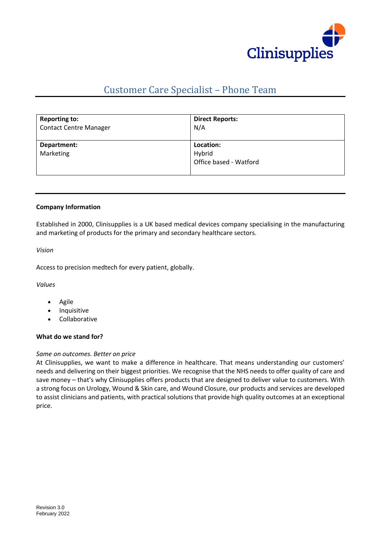

# Customer Care Specialist – Phone Team

| <b>Reporting to:</b>          | <b>Direct Reports:</b>                        |
|-------------------------------|-----------------------------------------------|
| <b>Contact Centre Manager</b> | N/A                                           |
| Department:<br>Marketing      | Location:<br>Hybrid<br>Office based - Watford |

# **Company Information**

Established in 2000, Clinisupplies is a UK based medical devices company specialising in the manufacturing and marketing of products for the primary and secondary healthcare sectors.

*Vision*

Access to precision medtech for every patient, globally.

*Values*

- Agile
- **Inquisitive**
- Collaborative

# **What do we stand for?**

# *Same on outcomes. Better on price*

At Clinisupplies, we want to make a difference in healthcare. That means understanding our customers' needs and delivering on their biggest priorities. We recognise that the NHS needs to offer quality of care and save money – that's why Clinisupplies offers products that are designed to deliver value to customers. With a strong focus on Urology, Wound & Skin care, and Wound Closure, our products and services are developed to assist clinicians and patients, with practical solutions that provide high quality outcomes at an exceptional price.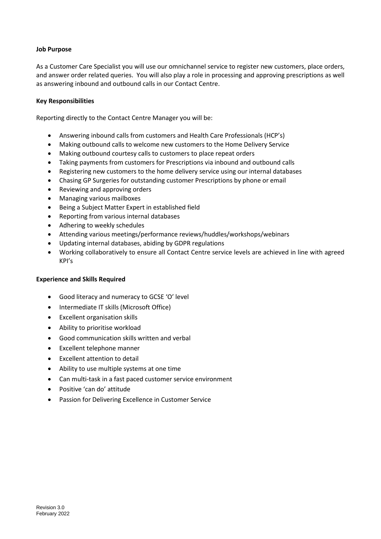# **Job Purpose**

As a Customer Care Specialist you will use our omnichannel service to register new customers, place orders, and answer order related queries. You will also play a role in processing and approving prescriptions as well as answering inbound and outbound calls in our Contact Centre.

# **Key Responsibilities**

Reporting directly to the Contact Centre Manager you will be:

- Answering inbound calls from customers and Health Care Professionals (HCP's)
- Making outbound calls to welcome new customers to the Home Delivery Service
- Making outbound courtesy calls to customers to place repeat orders
- Taking payments from customers for Prescriptions via inbound and outbound calls
- Registering new customers to the home delivery service using our internal databases
- Chasing GP Surgeries for outstanding customer Prescriptions by phone or email
- Reviewing and approving orders
- Managing various mailboxes
- Being a Subject Matter Expert in established field
- Reporting from various internal databases
- Adhering to weekly schedules
- Attending various meetings/performance reviews/huddles/workshops/webinars
- Updating internal databases, abiding by GDPR regulations
- Working collaboratively to ensure all Contact Centre service levels are achieved in line with agreed KPI's

# **Experience and Skills Required**

- Good literacy and numeracy to GCSE 'O' level
- Intermediate IT skills (Microsoft Office)
- Excellent organisation skills
- Ability to prioritise workload
- Good communication skills written and verbal
- Excellent telephone manner
- Excellent attention to detail
- Ability to use multiple systems at one time
- Can multi-task in a fast paced customer service environment
- Positive 'can do' attitude
- Passion for Delivering Excellence in Customer Service